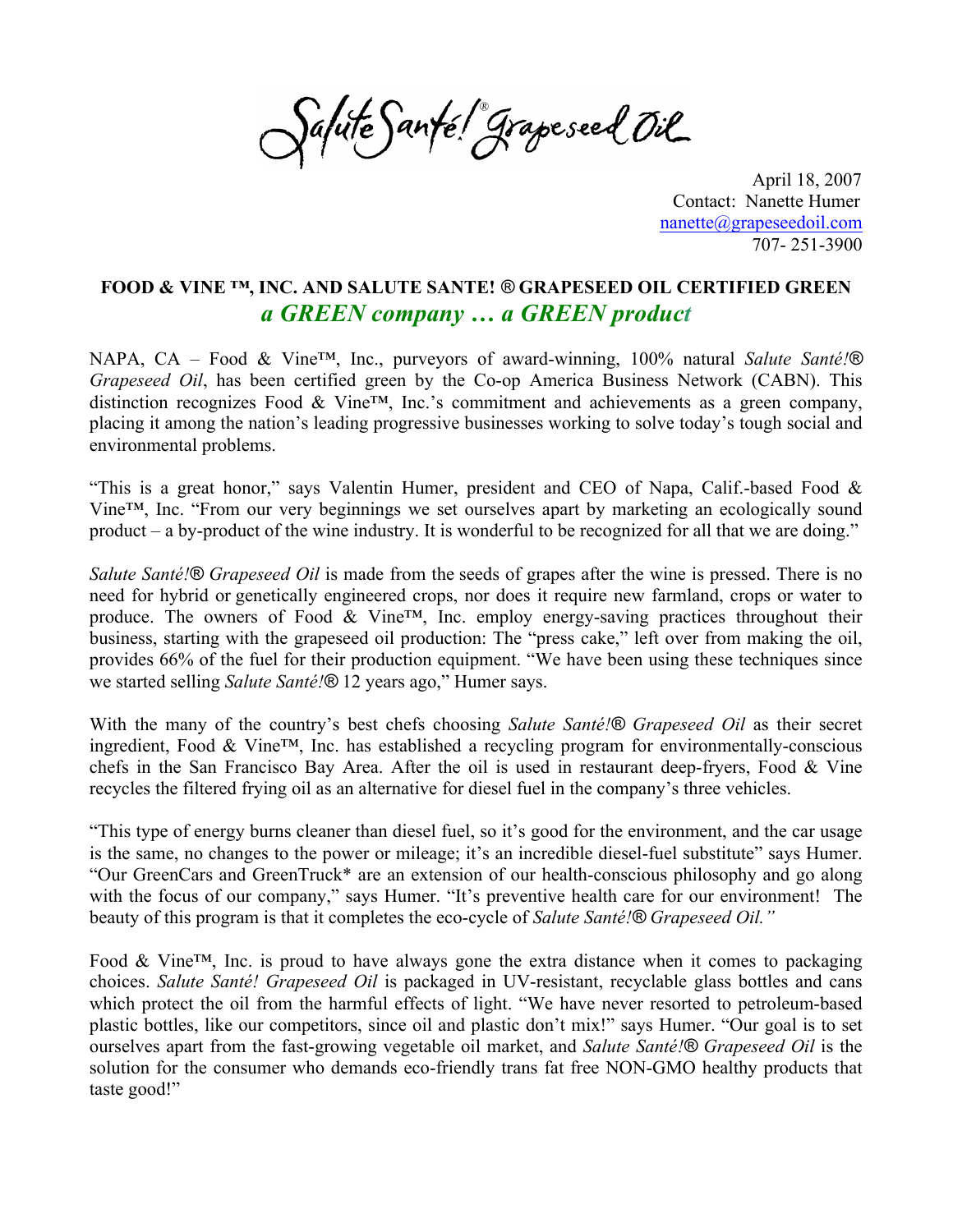Salute Santé! Grapeseed Oil

 April 18, 2007 Contact: Nanette Humer nanette@grapeseedoil.com 707- 251-3900

## **FOOD & VINE ™, INC. AND SALUTE SANTE!** *®* **GRAPESEED OIL CERTIFIED GREEN** *a GREEN company … a GREEN product*

NAPA, CA – Food & Vine™, Inc., purveyors of award-winning, 100% natural *Salute Santé!® Grapeseed Oil*, has been certified green by the Co-op America Business Network (CABN). This distinction recognizes Food & Vine™, Inc.'s commitment and achievements as a green company, placing it among the nation's leading progressive businesses working to solve today's tough social and environmental problems.

"This is a great honor," says Valentin Humer, president and CEO of Napa, Calif.-based Food & Vine™, Inc. "From our very beginnings we set ourselves apart by marketing an ecologically sound product – a by-product of the wine industry. It is wonderful to be recognized for all that we are doing."

*Salute Santé!® Grapeseed Oil* is made from the seeds of grapes after the wine is pressed. There is no need for hybrid or genetically engineered crops, nor does it require new farmland, crops or water to produce. The owners of Food & Vine™, Inc. employ energy-saving practices throughout their business, starting with the grapeseed oil production: The "press cake," left over from making the oil, provides 66% of the fuel for their production equipment. "We have been using these techniques since we started selling *Salute Santé!®* 12 years ago," Humer says.

With the many of the country's best chefs choosing *Salute Santé!® Grapeseed Oil* as their secret ingredient, Food & Vine™, Inc. has established a recycling program for environmentally-conscious chefs in the San Francisco Bay Area. After the oil is used in restaurant deep-fryers, Food & Vine recycles the filtered frying oil as an alternative for diesel fuel in the company's three vehicles.

"This type of energy burns cleaner than diesel fuel, so it's good for the environment, and the car usage is the same, no changes to the power or mileage; it's an incredible diesel-fuel substitute" says Humer. "Our GreenCars and GreenTruck\* are an extension of our health-conscious philosophy and go along with the focus of our company," says Humer. "It's preventive health care for our environment! The beauty of this program is that it completes the eco-cycle of *Salute Santé!® Grapeseed Oil."* 

Food & Vine™, Inc. is proud to have always gone the extra distance when it comes to packaging choices. *Salute Santé! Grapeseed Oil* is packaged in UV-resistant, recyclable glass bottles and cans which protect the oil from the harmful effects of light. "We have never resorted to petroleum-based plastic bottles, like our competitors, since oil and plastic don't mix!" says Humer. "Our goal is to set ourselves apart from the fast-growing vegetable oil market, and *Salute Santé!® Grapeseed Oil* is the solution for the consumer who demands eco-friendly trans fat free NON-GMO healthy products that taste good!"